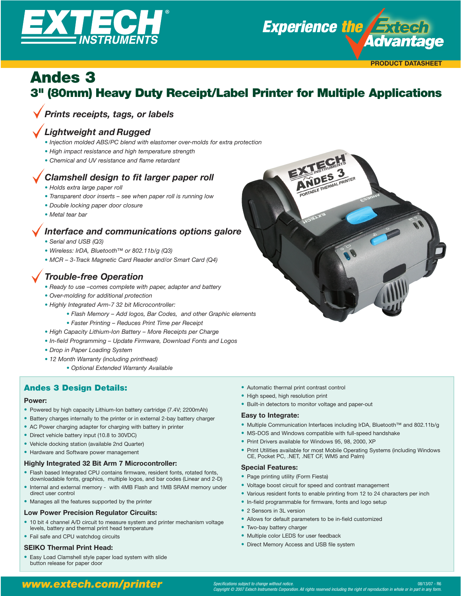



## Andes 3 3" (80mm) Heavy Duty Receipt/Label Printer for Multiple Applications

## *Prints receipts, tags, or labels*

## *Lightweight and Rugged*

- *Injection molded ABS/PC blend with elastomer over-molds for extra protection*
- *High impact resistance and high temperature strength*
- *• Chemical and UV resistance and flame retardant*

## *Clamshell design to fit larger paper roll*

- *Holds extra large paper roll*
- *Transparent door inserts see when paper roll is running low*
- *Double locking paper door closure*
- *Metal tear bar*

## *Interface and communications options galore*

- *Serial and USB (Q3)*
- *Wireless: IrDA, Bluetooth™ or 802.11b/g (Q3)*
- *MCR 3-Track Magnetic Card Reader and/or Smart Card (Q4)*

## *Trouble-free Operation*

- *Ready to use –comes complete with paper, adapter and battery*
- *Over-molding for additional protection*
- *Highly Integrated Arm-7 32 bit Microcontroller:*
	- *Flash Memory Add logos, Bar Codes, and other Graphic elements*
	- *Faster Printing Reduces Print Time per Receipt*
- *High Capacity Lithium-Ion Battery More Receipts per Charge*
- *In-field Programming Update Firmware, Download Fonts and Logos*
- *Drop in Paper Loading System*
- *12 Month Warranty (including printhead)*
	- *Optional Extended Warranty Available*

### Andes 3 Design Details:

#### **Power:**

- Powered by high capacity Lithium-Ion battery cartridge (7.4V; 2200mAh)
- Battery charges internally to the printer or in external 2-bay battery charger
- AC Power charging adapter for charging with battery in printer
- Direct vehicle battery input (10.8 to 30VDC)
- Vehicle docking station (available 2nd Quarter)
- Hardware and Software power management

#### **Highly Integrated 32 Bit Arm 7 Microcontroller:**

- Flash based Integrated CPU contains firmware, resident fonts, rotated fonts, downloadable fonts, graphics, multiple logos, and bar codes (Linear and 2-D)
- Internal and external memory with 4MB Flash and 1MB SRAM memory under direct user control
- Manages all the features supported by the printer

#### **Low Power Precision Regulator Circuits:**

- 10 bit 4 channel A/D circuit to measure system and printer mechanism voltage levels, battery and thermal print head temperature
- Fail safe and CPU watchdog circuits

#### **SEIKO Thermal Print Head:**

• Easy Load Clamshell style paper load system with slide button release for paper door

- Automatic thermal print contrast control
- High speed, high resolution print
- Built-in detectors to monitor voltage and paper-out

#### **Easy to Integrate:**

- Multiple Communication Interfaces including IrDA, Bluetooth™ and 802.11b/g
- MS-DOS and Windows compatible with full-speed handshake
- Print Drivers available for Windows 95, 98, 2000, XP
- Print Utilities available for most Mobile Operating Systems (including Windows CE, Pocket PC, .NET, .NET CF, WM5 and Palm)

#### **Special Features:**

- Page printing utility (Form Fiesta)
- Voltage boost circuit for speed and contrast management
- Various resident fonts to enable printing from 12 to 24 characters per inch
- In-field programmable for firmware, fonts and logo setup
- 2 Sensors in 3L version
- Allows for default parameters to be in-field customized
- Two-bay battery charger
- Multiple color LEDS for user feedback
- Direct Memory Access and USB file system